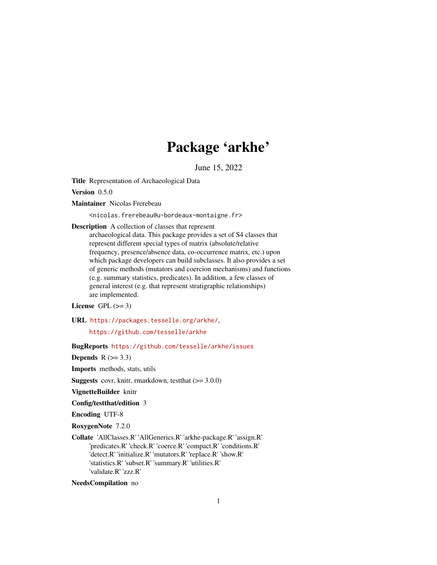# Package 'arkhe'

June 15, 2022

<span id="page-0-0"></span>Title Representation of Archaeological Data

Version 0.5.0

Maintainer Nicolas Frerebeau

<nicolas.frerebeau@u-bordeaux-montaigne.fr>

Description A collection of classes that represent archaeological data. This package provides a set of S4 classes that represent different special types of matrix (absolute/relative frequency, presence/absence data, co-occurrence matrix, etc.) upon which package developers can build subclasses. It also provides a set of generic methods (mutators and coercion mechanisms) and functions (e.g. summary statistics, predicates). In addition, a few classes of general interest (e.g. that represent stratigraphic relationships) are implemented.

License GPL  $(>= 3)$ 

URL <https://packages.tesselle.org/arkhe/>,

<https://github.com/tesselle/arkhe>

BugReports <https://github.com/tesselle/arkhe/issues>

Depends  $R$  ( $>= 3.3$ )

Imports methods, stats, utils

**Suggests** covr, knitr, rmarkdown, test that  $(>= 3.0.0)$ 

VignetteBuilder knitr

Config/testthat/edition 3

Encoding UTF-8

RoxygenNote 7.2.0

Collate 'AllClasses.R' 'AllGenerics.R' 'arkhe-package.R' 'assign.R' 'predicates.R' 'check.R' 'coerce.R' 'compact.R' 'conditions.R' 'detect.R' 'initialize.R' 'mutators.R' 'replace.R' 'show.R' 'statistics.R' 'subset.R' 'summary.R' 'utilities.R' 'validate.R' 'zzz.R'

NeedsCompilation no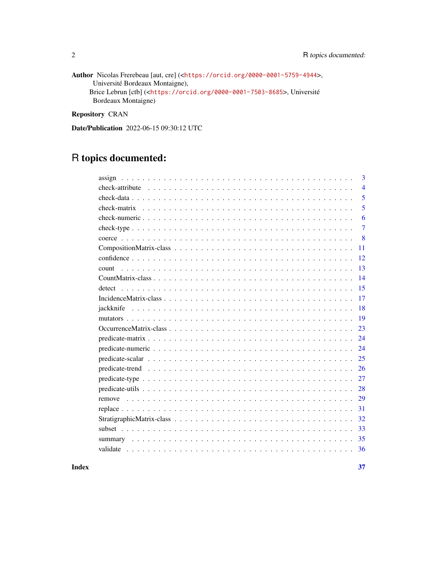Author Nicolas Frerebeau [aut, cre] (<<https://orcid.org/0000-0001-5759-4944>>, Université Bordeaux Montaigne), Brice Lebrun [ctb] (<<https://orcid.org/0000-0001-7503-8685>>, Université Bordeaux Montaigne)

Repository CRAN

Date/Publication 2022-06-15 09:30:12 UTC

# R topics documented:

| 3              |
|----------------|
| $\overline{4}$ |
| 5              |
| 5              |
| 6              |
| $\overline{7}$ |
| 8              |
| 11             |
| 12.            |
| 13<br>count    |
| 14             |
| 15             |
| 17             |
| 18             |
| 19             |
| 23             |
| 24             |
| 24             |
| 25             |
| 26             |
| 27             |
| 28             |
| 29             |
| 31             |
| 32             |
| 33             |
| 35             |
| 36             |

#### **Index** [37](#page-36-0)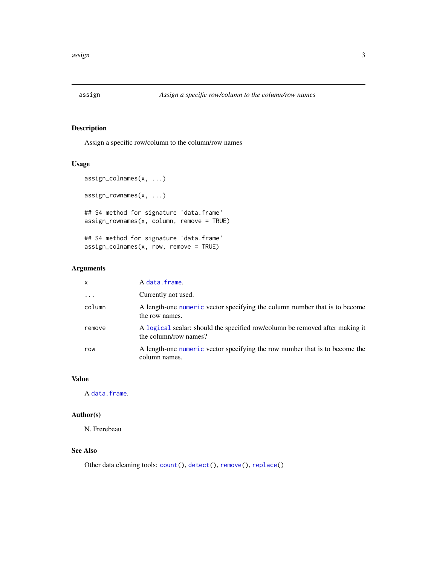<span id="page-2-1"></span><span id="page-2-0"></span>

Assign a specific row/column to the column/row names

# Usage

```
assign_colnames(x, ...)
assign_rownames(x, ...)
## S4 method for signature 'data.frame'
assign_rownames(x, column, remove = TRUE)
## S4 method for signature 'data.frame'
assign\_columns(x, row, remove = TRUE)
```
#### Arguments

| $\mathsf{x}$ | A data.frame.                                                                                         |
|--------------|-------------------------------------------------------------------------------------------------------|
| $\ddotsc$    | Currently not used.                                                                                   |
| column       | A length-one numeric vector specifying the column number that is to become<br>the row names.          |
| remove       | A logical scalar: should the specified row/column be removed after making it<br>the column/row names? |
| row          | A length-one numeric vector specifying the row number that is to become the<br>column names.          |

# Value

A [data.frame](#page-0-0).

# Author(s)

N. Frerebeau

# See Also

Other data cleaning tools: [count\(](#page-12-1)), [detect\(](#page-14-1)), [remove\(](#page-28-1)), [replace\(](#page-30-1))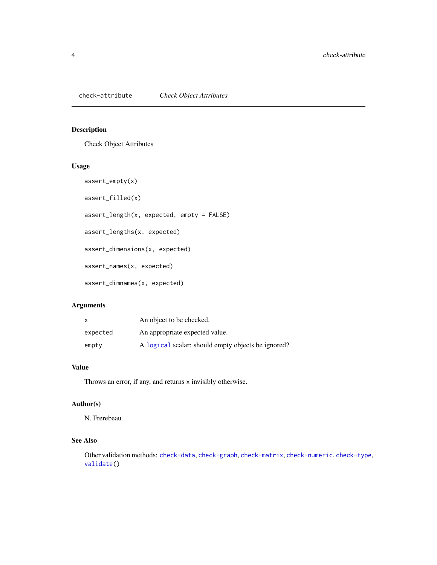<span id="page-3-1"></span><span id="page-3-0"></span>Check Object Attributes

#### Usage

```
assert_empty(x)
assert_filled(x)
assert_length(x, expected, empty = FALSE)
assert_lengths(x, expected)
assert_dimensions(x, expected)
assert_names(x, expected)
assert_dimnames(x, expected)
```
# Arguments

| X        | An object to be checked.                           |
|----------|----------------------------------------------------|
| expected | An appropriate expected value.                     |
| empty    | A logical scalar: should empty objects be ignored? |

# Value

Throws an error, if any, and returns x invisibly otherwise.

# Author(s)

N. Frerebeau

# See Also

Other validation methods: [check-data](#page-4-1), [check-graph](#page-0-0), [check-matrix](#page-4-2), [check-numeric](#page-5-1), [check-type](#page-6-1), [validate\(](#page-35-1))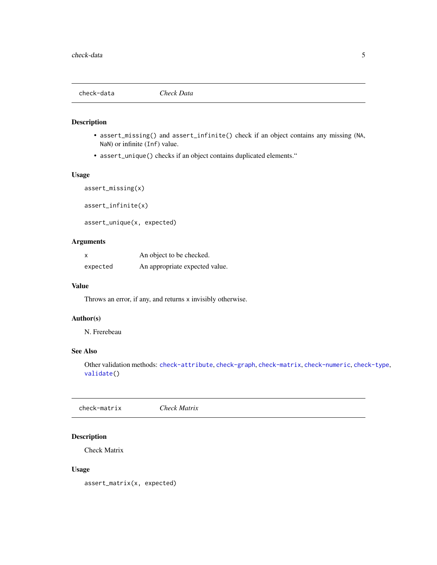<span id="page-4-1"></span><span id="page-4-0"></span>

- assert\_missing() and assert\_infinite() check if an object contains any missing (NA, NaN) or infinite (Inf) value.
- assert\_unique() checks if an object contains duplicated elements."

#### Usage

assert\_missing(x) assert\_infinite(x)

assert\_unique(x, expected)

# Arguments

|          | An object to be checked.       |  |
|----------|--------------------------------|--|
| expected | An appropriate expected value. |  |

#### Value

Throws an error, if any, and returns x invisibly otherwise.

# Author(s)

N. Frerebeau

# See Also

Other validation methods: [check-attribute](#page-3-1), [check-graph](#page-0-0), [check-matrix](#page-4-2), [check-numeric](#page-5-1), [check-type](#page-6-1), [validate\(](#page-35-1))

<span id="page-4-2"></span>check-matrix *Check Matrix*

#### Description

Check Matrix

#### Usage

assert\_matrix(x, expected)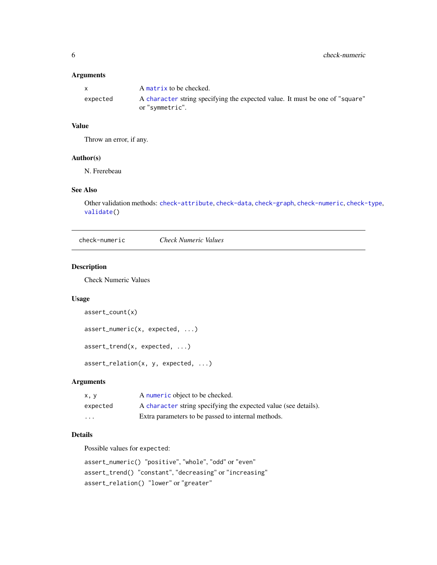#### <span id="page-5-0"></span>Arguments

| $\mathbf{x}$ | A matrix to be checked.                                                                         |
|--------------|-------------------------------------------------------------------------------------------------|
| expected     | A character string specifying the expected value. It must be one of "square"<br>or "symmetric". |

# Value

Throw an error, if any.

## Author(s)

N. Frerebeau

#### See Also

Other validation methods: [check-attribute](#page-3-1), [check-data](#page-4-1), [check-graph](#page-0-0), [check-numeric](#page-5-1), [check-type](#page-6-1), [validate\(](#page-35-1))

<span id="page-5-1"></span>check-numeric *Check Numeric Values*

# Description

Check Numeric Values

# Usage

```
assert_count(x)
assert_numeric(x, expected, ...)
assert_trend(x, expected, ...)
assert_relation(x, y, expected, ...)
```
# Arguments

| x.v                     | A numeric object to be checked.                                 |
|-------------------------|-----------------------------------------------------------------|
| expected                | A character string specifying the expected value (see details). |
| $\cdot$ $\cdot$ $\cdot$ | Extra parameters to be passed to internal methods.              |

# Details

Possible values for expected:

```
assert_numeric() "positive", "whole", "odd" or "even"
assert_trend() "constant", "decreasing" or "increasing"
assert_relation() "lower" or "greater"
```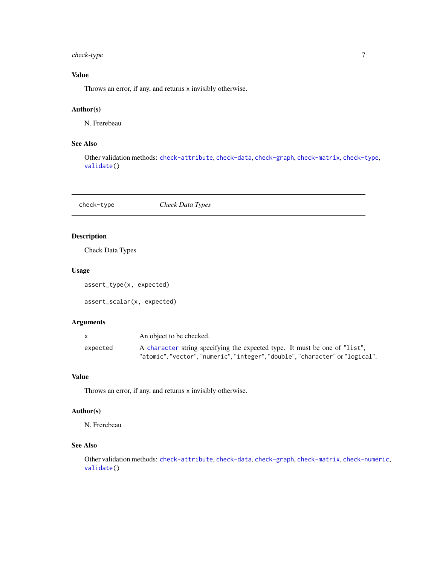# <span id="page-6-0"></span>check-type 7

# Value

Throws an error, if any, and returns x invisibly otherwise.

# Author(s)

N. Frerebeau

# See Also

Other validation methods: [check-attribute](#page-3-1), [check-data](#page-4-1), [check-graph](#page-0-0), [check-matrix](#page-4-2), [check-type](#page-6-1), [validate\(](#page-35-1))

<span id="page-6-1"></span>check-type *Check Data Types*

# Description

Check Data Types

#### Usage

assert\_type(x, expected)

assert\_scalar(x, expected)

#### Arguments

|          | An object to be checked.                                                   |
|----------|----------------------------------------------------------------------------|
| expected | A character string specifying the expected type. It must be one of "list", |
|          | "atomic","vector","numeric","integer","double","character" or "logical".   |

#### Value

Throws an error, if any, and returns x invisibly otherwise.

#### Author(s)

N. Frerebeau

# See Also

Other validation methods: [check-attribute](#page-3-1), [check-data](#page-4-1), [check-graph](#page-0-0), [check-matrix](#page-4-2), [check-numeric](#page-5-1), [validate\(](#page-35-1))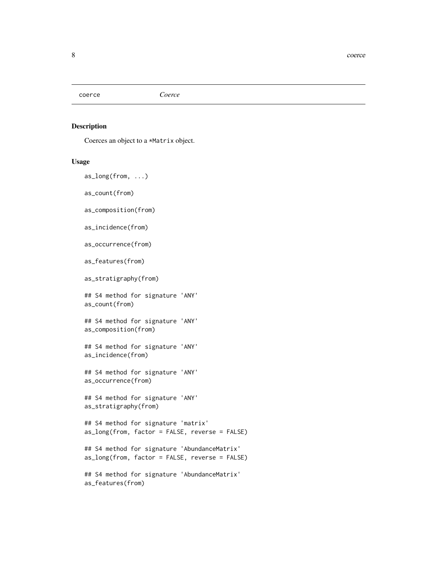<span id="page-7-2"></span><span id="page-7-0"></span>coerce *Coerce*

#### <span id="page-7-1"></span>Description

Coerces an object to a \*Matrix object.

#### Usage

as\_long(from, ...)

as\_count(from)

as\_composition(from)

as\_incidence(from)

as\_occurrence(from)

as\_features(from)

as\_stratigraphy(from)

## S4 method for signature 'ANY' as\_count(from)

## S4 method for signature 'ANY' as\_composition(from)

## S4 method for signature 'ANY' as\_incidence(from)

## S4 method for signature 'ANY' as\_occurrence(from)

## S4 method for signature 'ANY' as\_stratigraphy(from)

## S4 method for signature 'matrix' as\_long(from, factor = FALSE, reverse = FALSE)

## S4 method for signature 'AbundanceMatrix' as\_long(from, factor = FALSE, reverse = FALSE)

```
## S4 method for signature 'AbundanceMatrix'
as_features(from)
```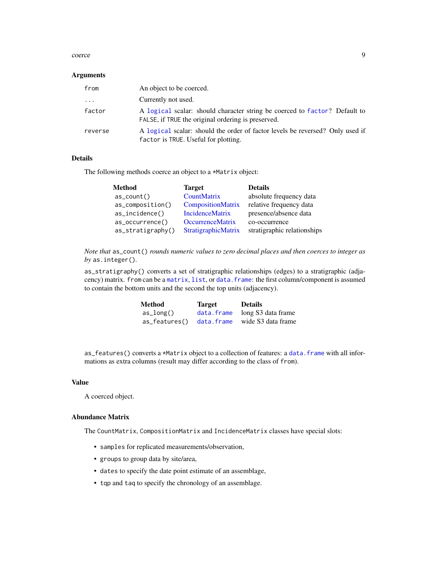#### <span id="page-8-0"></span>coerce 99 and 200 million and 200 million and 200 million and 200 million and 200 million and 200 million and 200 million and 200 million and 200 million and 200 million and 200 million and 200 million and 200 million and

#### **Arguments**

| from                    | An object to be coerced.                                                                                                         |
|-------------------------|----------------------------------------------------------------------------------------------------------------------------------|
| $\cdot$ $\cdot$ $\cdot$ | Currently not used.                                                                                                              |
| factor                  | A logical scalar: should character string be coerced to factor? Default to<br>FALSE, if TRUE the original ordering is preserved. |
| reverse                 | A logical scalar: should the order of factor levels be reversed? Only used if<br>factor is TRUE. Useful for plotting.            |

#### Details

The following methods coerce an object to a \*Matrix object:

| <b>Method</b>     | <b>Target</b>           | <b>Details</b>              |
|-------------------|-------------------------|-----------------------------|
| $as\_count()$     | CountMatrix             | absolute frequency data     |
| as_composition()  | CompositionMatrix       | relative frequency data     |
| as_incidence()    | <b>IncidenceMatrix</b>  | presence/absence data       |
| $as_occurrence()$ | <b>OccurrenceMatrix</b> | co-occurrence               |
| as_stratigraphy() | StratigraphicMatrix     | stratigraphic relationships |

*Note that* as\_count() *rounds numeric values to zero decimal places and then coerces to integer as by* as.integer()*.*

as\_stratigraphy() converts a set of stratigraphic relationships (edges) to a stratigraphic (adjacency) matrix. from can be a [matrix](#page-0-0), [list](#page-0-0), or [data.frame](#page-0-0): the first column/component is assumed to contain the bottom units and the second the top units (adjacency).

| Method        | Target     | <b>Details</b>                |
|---------------|------------|-------------------------------|
| $as\_long()$  | data.frame | long S3 data frame            |
| as_features() |            | data.frame wide S3 data frame |

as\_features() converts a \*Matrix object to a collection of features: a [data.frame](#page-0-0) with all informations as extra columns (result may differ according to the class of from).

#### Value

A coerced object.

#### Abundance Matrix

The CountMatrix, CompositionMatrix and IncidenceMatrix classes have special slots:

- samples for replicated measurements/observation,
- groups to group data by site/area,
- dates to specify the date point estimate of an assemblage,
- tqp and taq to specify the chronology of an assemblage.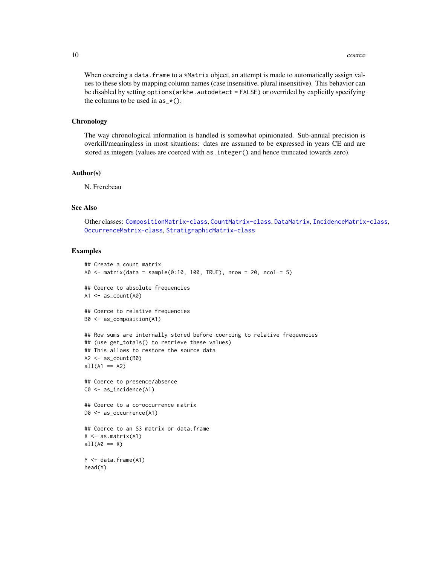When coercing a data. frame to a \*Matrix object, an attempt is made to automatically assign values to these slots by mapping column names (case insensitive, plural insensitive). This behavior can be disabled by setting options (arkhe.autodetect = FALSE) or overrided by explicitly specifying the columns to be used in  $as_{\mathbf{r}}(.)$ .

#### **Chronology**

The way chronological information is handled is somewhat opinionated. Sub-annual precision is overkill/meaningless in most situations: dates are assumed to be expressed in years CE and are stored as integers (values are coerced with as.integer() and hence truncated towards zero).

#### Author(s)

N. Frerebeau

# See Also

Other classes: [CompositionMatrix-class](#page-10-1), [CountMatrix-class](#page-13-1), [DataMatrix](#page-0-0), [IncidenceMatrix-class](#page-16-1), [OccurrenceMatrix-class](#page-22-1), [StratigraphicMatrix-class](#page-31-1)

```
## Create a count matrix
A0 \leq matrix(data = sample(0:10, 100, TRUE), nrow = 20, ncol = 5)
## Coerce to absolute frequencies
A1 \leftarrow as_count(A0)## Coerce to relative frequencies
B0 <- as_composition(A1)
## Row sums are internally stored before coercing to relative frequencies
## (use get_totals() to retrieve these values)
## This allows to restore the source data
A2 \leq -a s_{\text{count}}(B0)all(A1 == A2)## Coerce to presence/absence
C0 <- as_incidence(A1)
## Coerce to a co-occurrence matrix
D0 <- as_occurrence(A1)
## Coerce to an S3 matrix or data.frame
X \leftarrow as.matrix(A1)all(A0 == X)Y <- data.frame(A1)
head(Y)
```
<span id="page-9-0"></span>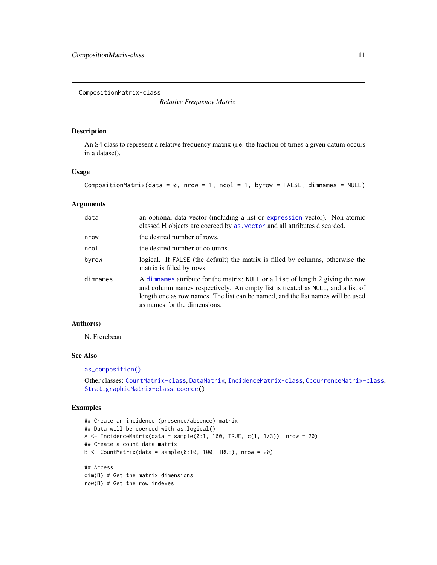<span id="page-10-1"></span><span id="page-10-0"></span>CompositionMatrix-class

*Relative Frequency Matrix*

#### Description

An S4 class to represent a relative frequency matrix (i.e. the fraction of times a given datum occurs in a dataset).

#### Usage

```
CompositionMatrix(data = \theta, nrow = 1, ncol = 1, byrow = FALSE, dimnames = NULL)
```
# Arguments

| data     | an optional data vector (including a list or expression vector). Non-atomic<br>classed R objects are coerced by as . vector and all attributes discarded.                                                                                                                           |
|----------|-------------------------------------------------------------------------------------------------------------------------------------------------------------------------------------------------------------------------------------------------------------------------------------|
| nrow     | the desired number of rows.                                                                                                                                                                                                                                                         |
| ncol     | the desired number of columns.                                                                                                                                                                                                                                                      |
| byrow    | logical. If FALSE (the default) the matrix is filled by columns, otherwise the<br>matrix is filled by rows.                                                                                                                                                                         |
| dimnames | A dimnames attribute for the matrix: NULL or a list of length 2 giving the row<br>and column names respectively. An empty list is treated as NULL, and a list of<br>length one as row names. The list can be named, and the list names will be used<br>as names for the dimensions. |

#### Author(s)

N. Frerebeau

#### See Also

#### [as\\_composition\(\)](#page-7-1)

```
Other classes: CountMatrix-class, DataMatrix, IncidenceMatrix-class, OccurrenceMatrix-class,
StratigraphicMatrix-class, coerce()
```

```
## Create an incidence (presence/absence) matrix
## Data will be coerced with as.logical()
A \le IncidenceMatrix(data = sample(0:1, 100, TRUE, c(1, 1/3)), nrow = 20)
## Create a count data matrix
B \le CountMatrix(data = sample(0:10, 100, TRUE), nrow = 20)
## Access
dim(B) # Get the matrix dimensions
row(B) # Get the row indexes
```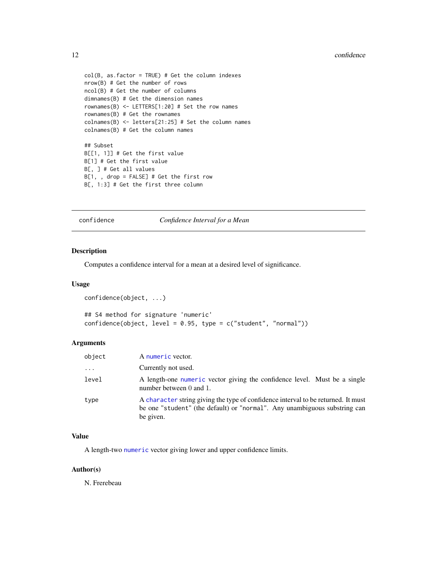```
col(B, as.factor = TRUE) # Get the column indexes
nrow(B) # Get the number of rows
ncol(B) # Get the number of columns
dimnames(B) # Get the dimension names
rownames(B) <- LETTERS[1:20] # Set the row names
rownames(B) # Get the rownames
colnames(B) <- letters[21:25] # Set the column names
colnames(B) # Get the column names
## Subset
B[[1, 1]] # Get the first value
B[1] # Get the first value
B[, ] # Get all values
B[1, , drop = FALSE] # Get the first row
B[, 1:3] # Get the first three column
```
#### <span id="page-11-1"></span>confidence *Confidence Interval for a Mean*

#### Description

Computes a confidence interval for a mean at a desired level of significance.

#### Usage

```
confidence(object, ...)
```

```
## S4 method for signature 'numeric'
confidence(object, level = 0.95, type = c("student", "normal"))
```
#### Arguments

| object   | A numeric vector.                                                                                                                                                           |
|----------|-----------------------------------------------------------------------------------------------------------------------------------------------------------------------------|
| $\cdots$ | Currently not used.                                                                                                                                                         |
| level    | A length-one numeric vector giving the confidence level. Must be a single<br>number between 0 and 1.                                                                        |
| type     | A character string giving the type of confidence interval to be returned. It must<br>be one "student" (the default) or "normal". Any unambiguous substring can<br>be given. |

#### Value

A length-two [numeric](#page-0-0) vector giving lower and upper confidence limits.

#### Author(s)

N. Frerebeau

<span id="page-11-0"></span>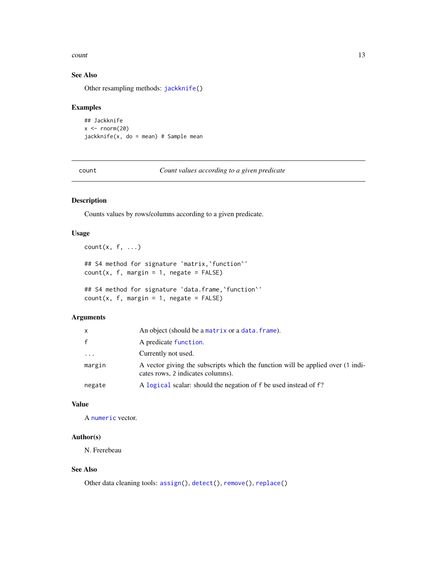#### <span id="page-12-0"></span>count and the count of the count of the count of the count of the count of the count of the count of the count of the count of the count of the count of the count of the count of the count of the count of the count of the

# See Also

Other resampling methods: [jackknife\(](#page-17-1))

#### Examples

```
## Jackknife
x < - rnorm(20)
jackknife(x, do = mean) # Sample mean
```
<span id="page-12-1"></span>count *Count values according to a given predicate*

# Description

Counts values by rows/columns according to a given predicate.

# Usage

 $count(x, f, ...)$ 

```
## S4 method for signature 'matrix,`function`'
count(x, f, margin = 1, negative = FALSE)
```
## S4 method for signature 'data.frame, 'function''  $count(x, f, margin = 1, negative = FALSE)$ 

# Arguments

| x      | An object (should be a matrix or a data. frame).                                                                     |
|--------|----------------------------------------------------------------------------------------------------------------------|
| f.     | A predicate function.                                                                                                |
| .      | Currently not used.                                                                                                  |
| margin | A vector giving the subscripts which the function will be applied over (1 indi-<br>cates rows, 2 indicates columns). |
| negate | A logical scalar: should the negation of f be used instead of f?                                                     |

#### Value

A [numeric](#page-0-0) vector.

#### Author(s)

N. Frerebeau

# See Also

Other data cleaning tools: [assign\(](#page-2-1)), [detect\(](#page-14-1)), [remove\(](#page-28-1)), [replace\(](#page-30-1))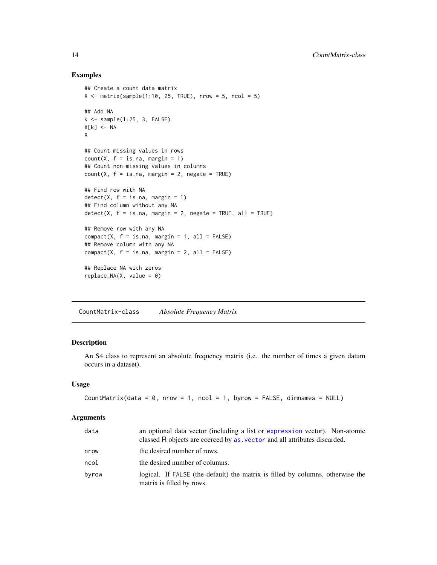#### Examples

```
## Create a count data matrix
X \le matrix(sample(1:10, 25, TRUE), nrow = 5, ncol = 5)
## Add NA
k \leq - sample(1:25, 3, FALSE)
X[k] <- NA
X
## Count missing values in rows
count(X, f = is.na, margin = 1)## Count non-missing values in columns
count(X, f = is.na, margin = 2, negative = TRUE)## Find row with NA
detect(X, f = is.na, margin = 1)## Find column without any NA
detect(X, f = is.na, margin = 2, negative = TRUE, all = TRUE)## Remove row with any NA
compact(X, f = is.na, margin = 1, all = FALSE)## Remove column with any NA
compact(X, f = is.na, margin = 2, all = FALSE)## Replace NA with zeros
replace_MA(X, value = 0)
```
<span id="page-13-1"></span>CountMatrix-class *Absolute Frequency Matrix*

# Description

An S4 class to represent an absolute frequency matrix (i.e. the number of times a given datum occurs in a dataset).

#### Usage

```
CountMatrix(data = 0, nrow = 1, ncol = 1, byrow = FALSE, dimnames = NULL)
```
#### Arguments

| data  | an optional data vector (including a list or expression vector). Non-atomic<br>classed R objects are coerced by as vector and all attributes discarded. |
|-------|---------------------------------------------------------------------------------------------------------------------------------------------------------|
| nrow  | the desired number of rows.                                                                                                                             |
| ncol  | the desired number of columns.                                                                                                                          |
| byrow | logical. If FALSE (the default) the matrix is filled by columns, otherwise the<br>matrix is filled by rows.                                             |

<span id="page-13-0"></span>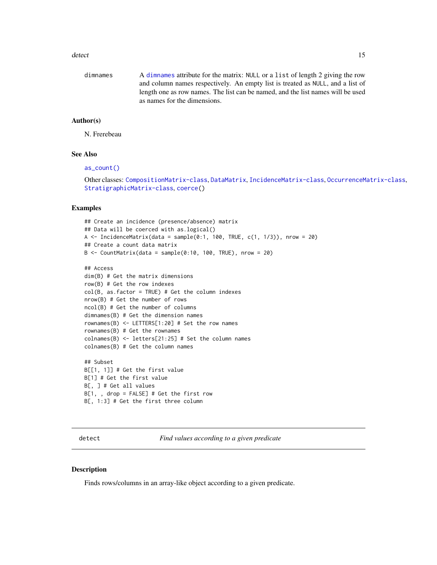#### <span id="page-14-0"></span>detect and the contract of the contract of the contract of the contract of the contract of the contract of the contract of the contract of the contract of the contract of the contract of the contract of the contract of the

| dimnames | A dimnames attribute for the matrix: NULL or a list of length 2 giving the row  |
|----------|---------------------------------------------------------------------------------|
|          | and column names respectively. An empty list is treated as NULL, and a list of  |
|          | length one as row names. The list can be named, and the list names will be used |
|          | as names for the dimensions.                                                    |

#### Author(s)

N. Frerebeau

#### See Also

[as\\_count\(\)](#page-7-1)

Other classes: [CompositionMatrix-class](#page-10-1), [DataMatrix](#page-0-0), [IncidenceMatrix-class](#page-16-1), [OccurrenceMatrix-class](#page-22-1), [StratigraphicMatrix-class](#page-31-1), [coerce\(](#page-7-2))

# Examples

```
## Create an incidence (presence/absence) matrix
## Data will be coerced with as.logical()
A \le IncidenceMatrix(data = sample(0:1, 100, TRUE, c(1, 1/3)), nrow = 20)
## Create a count data matrix
B \le CountMatrix(data = sample(0:10, 100, TRUE), nrow = 20)
```

```
## Access
dim(B) # Get the matrix dimensions
row(B) # Get the row indexes
col(B, as.factor = TRUE) # Get the column indexes
nrow(B) # Get the number of rows
ncol(B) # Get the number of columns
dimnames(B) # Get the dimension names
rownames(B) <- LETTERS[1:20] # Set the row names
rownames(B) # Get the rownames
colnames(B) \le letters[21:25] # Set the column names
colnames(B) # Get the column names
```

```
## Subset
B[[1, 1]] # Get the first value
B[1] # Get the first value
B[, ] # Get all values
B[1, , drop = FALSE] # Get the first row
B[, 1:3] # Get the first three column
```
<span id="page-14-1"></span>detect *Find values according to a given predicate*

#### Description

Finds rows/columns in an array-like object according to a given predicate.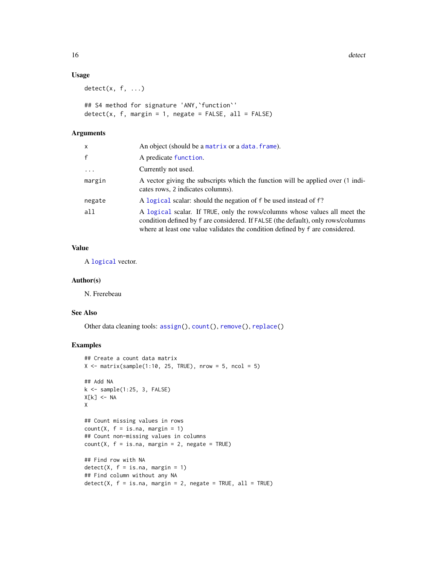16 detect and the detect of the state of the detect of the detect of the detect of the detect of the detect of the detect of the detect of the detect of the detect of the detect of the detect of the detect of the detect of

#### Usage

 $detect(x, f, ...)$ 

## S4 method for signature 'ANY,`function`'  $detect(x, f, margin = 1, negative = FALSE, all = FALSE)$ 

# Arguments

| x        | An object (should be a matrix or a data. frame).                                                                                                                                                                                                |
|----------|-------------------------------------------------------------------------------------------------------------------------------------------------------------------------------------------------------------------------------------------------|
| f        | A predicate function.                                                                                                                                                                                                                           |
| $\cdots$ | Currently not used.                                                                                                                                                                                                                             |
| margin   | A vector giving the subscripts which the function will be applied over (1 indi-<br>cates rows, 2 indicates columns).                                                                                                                            |
| negate   | A logical scalar: should the negation of f be used instead of f?                                                                                                                                                                                |
| all      | A logical scalar. If TRUE, only the rows/columns whose values all meet the<br>condition defined by f are considered. If FALSE (the default), only rows/columns<br>where at least one value validates the condition defined by f are considered. |

# Value

A [logical](#page-0-0) vector.

#### Author(s)

N. Frerebeau

#### See Also

Other data cleaning tools: [assign\(](#page-2-1)), [count\(](#page-12-1)), [remove\(](#page-28-1)), [replace\(](#page-30-1))

```
## Create a count data matrix
X \le matrix(sample(1:10, 25, TRUE), nrow = 5, ncol = 5)
## Add NA
k \leq - sample(1:25, 3, FALSE)
X[k] <- NA
X
## Count missing values in rows
count(X, f = is.na, margin = 1)## Count non-missing values in columns
count(X, f = is.na, margin = 2, negative = TRUE)## Find row with NA
detect(X, f = is.na, margin = 1)## Find column without any NA
detect(X, f = is.na, margin = 2, negative = TRUE, all = TRUE)
```
<span id="page-15-0"></span>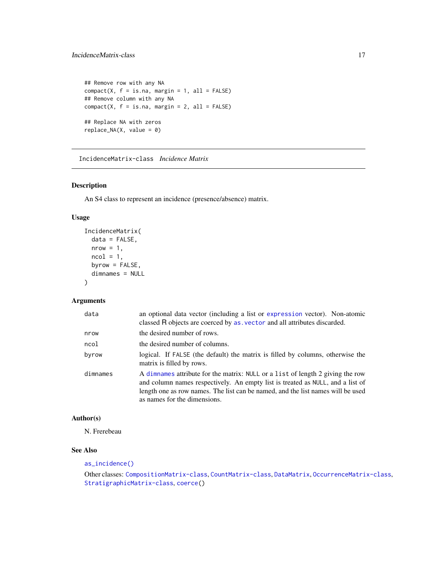```
## Remove row with any NA
compact(X, f = is.na, margin = 1, all = FALSE)## Remove column with any NA
compact(X, f = is.na, margin = 2, all = FALSE)## Replace NA with zeros
replace_MA(X, value = 0)
```
<span id="page-16-1"></span>IncidenceMatrix-class *Incidence Matrix*

#### Description

An S4 class to represent an incidence (presence/absence) matrix.

#### Usage

```
IncidenceMatrix(
 data = FALSE,
 nrow = 1,
 ncol = 1,
 byrow = FALSE,
  dimnames = NULL
)
```
# Arguments

| data     | an optional data vector (including a list or expression vector). Non-atomic<br>classed R objects are coerced by as vector and all attributes discarded.                                                                                                                             |
|----------|-------------------------------------------------------------------------------------------------------------------------------------------------------------------------------------------------------------------------------------------------------------------------------------|
| nrow     | the desired number of rows.                                                                                                                                                                                                                                                         |
| ncol     | the desired number of columns.                                                                                                                                                                                                                                                      |
| byrow    | logical. If FALSE (the default) the matrix is filled by columns, otherwise the<br>matrix is filled by rows.                                                                                                                                                                         |
| dimnames | A dimnames attribute for the matrix: NULL or a list of length 2 giving the row<br>and column names respectively. An empty list is treated as NULL, and a list of<br>length one as row names. The list can be named, and the list names will be used<br>as names for the dimensions. |

#### Author(s)

N. Frerebeau

# See Also

#### [as\\_incidence\(\)](#page-7-1)

Other classes: [CompositionMatrix-class](#page-10-1), [CountMatrix-class](#page-13-1), [DataMatrix](#page-0-0), [OccurrenceMatrix-class](#page-22-1), [StratigraphicMatrix-class](#page-31-1), [coerce\(](#page-7-2))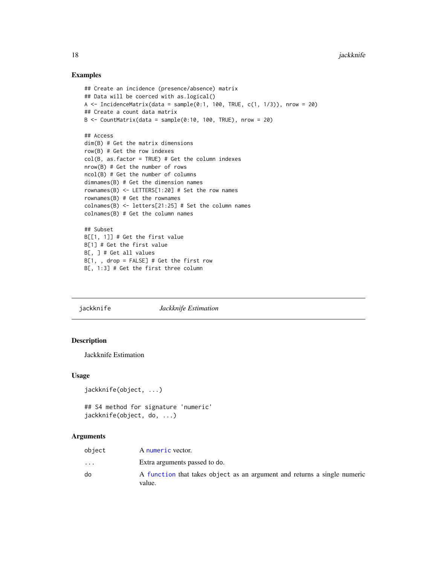#### Examples

```
## Create an incidence (presence/absence) matrix
## Data will be coerced with as.logical()
A \le IncidenceMatrix(data = sample(0:1, 100, TRUE, c(1, 1/3)), nrow = 20)
## Create a count data matrix
B \le CountMatrix(data = sample(0:10, 100, TRUE), nrow = 20)
## Access
dim(B) # Get the matrix dimensions
row(B) # Get the row indexes
col(B, as.factor = TRUE) # Get the column indexes
nrow(B) # Get the number of rows
ncol(B) # Get the number of columns
dimnames(B) # Get the dimension names
rownames(B) \le - LETTERS[1:20] # Set the row names
rownames(B) # Get the rownames
colnames(B) <- letters[21:25] # Set the column names
colnames(B) # Get the column names
## Subset
B[[1, 1]] # Get the first value
B[1] # Get the first value
B[, ] # Get all values
B[1, , drop = FALSE] # Get the first row
B[, 1:3] # Get the first three column
```
<span id="page-17-1"></span>jackknife *Jackknife Estimation*

#### Description

Jackknife Estimation

#### Usage

```
jackknife(object, ...)
```

```
## S4 method for signature 'numeric'
jackknife(object, do, ...)
```
#### Arguments

| object               | A numeric vector.                                                                  |
|----------------------|------------------------------------------------------------------------------------|
| $\ddot{\phantom{0}}$ | Extra arguments passed to do.                                                      |
| do                   | A function that takes object as an argument and returns a single numeric<br>value. |

<span id="page-17-0"></span>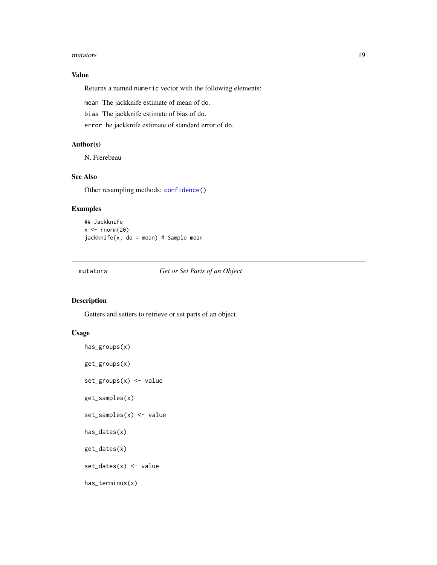#### <span id="page-18-0"></span>mutators and the contract of the contract of the contract of the contract of the contract of the contract of the contract of the contract of the contract of the contract of the contract of the contract of the contract of t

# Value

Returns a named numeric vector with the following elements:

mean The jackknife estimate of mean of do.

bias The jackknife estimate of bias of do.

error he jackknife estimate of standard error of do.

# Author(s)

N. Frerebeau

# See Also

Other resampling methods: [confidence\(](#page-11-1))

# Examples

```
## Jackknife
x < - rnorm(20)
jackknife(x, do = mean) # Sample mean
```
<span id="page-18-1"></span>mutators *Get or Set Parts of an Object*

#### Description

Getters and setters to retrieve or set parts of an object.

#### Usage

```
has_groups(x)
get_groups(x)
set_groups(x) <- value
get_samples(x)
set_samples(x) <- value
has_dates(x)
get_dates(x)
set_dates(x) <- value
has_terminus(x)
```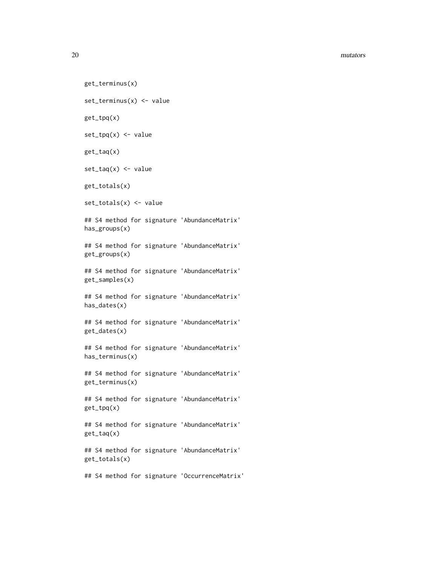#### 20 mutators and the contract of the contract of the contract of the contract of the contract of the contract of the contract of the contract of the contract of the contract of the contract of the contract of the contract o

```
get_terminus(x)
set_terminus(x) <- value
get_tpq(x)
set\_tpq(x) \leftarrow valueget_taq(x)
set\_tag(x) \leftarrow valueget_totals(x)
set_totals(x) <- value
## S4 method for signature 'AbundanceMatrix'
has_groups(x)
## S4 method for signature 'AbundanceMatrix'
get_groups(x)
## S4 method for signature 'AbundanceMatrix'
get_samples(x)
## S4 method for signature 'AbundanceMatrix'
has_dates(x)
## S4 method for signature 'AbundanceMatrix'
get_dates(x)
## S4 method for signature 'AbundanceMatrix'
has_terminus(x)
## S4 method for signature 'AbundanceMatrix'
get_terminus(x)
## S4 method for signature 'AbundanceMatrix'
get_tpq(x)
## S4 method for signature 'AbundanceMatrix'
get_taq(x)
## S4 method for signature 'AbundanceMatrix'
get_totals(x)
```
## S4 method for signature 'OccurrenceMatrix'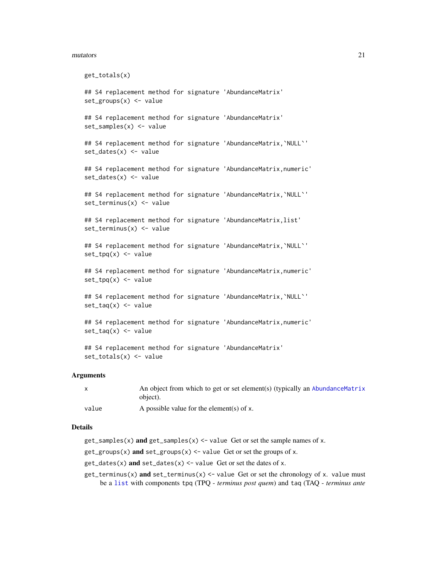#### <span id="page-20-0"></span>mutators 21

```
get_totals(x)
## S4 replacement method for signature 'AbundanceMatrix'
set_groups(x) <- value
## S4 replacement method for signature 'AbundanceMatrix'
set_samples(x) <- value
## S4 replacement method for signature 'AbundanceMatrix, `NULL`'
set_dates(x) <- value
## S4 replacement method for signature 'AbundanceMatrix,numeric'
set_dates(x) <- value
## S4 replacement method for signature 'AbundanceMatrix, `NULL`'
set_terminus(x) <- value
## S4 replacement method for signature 'AbundanceMatrix,list'
set_tterminus(x) <- value
## S4 replacement method for signature 'AbundanceMatrix, `NULL`'
set_{top}(x) \leq value## S4 replacement method for signature 'AbundanceMatrix,numeric'
set\_tpq(x) \leq -value## S4 replacement method for signature 'AbundanceMatrix,`NULL`'
set\_tag(x) \leftarrow value## S4 replacement method for signature 'AbundanceMatrix,numeric'
set\_tag(x) < - value
## S4 replacement method for signature 'AbundanceMatrix'
set_totals(x) <- value
```
#### Arguments

|       | An object from which to get or set element(s) (typically an AbundanceMatrix<br>object). |
|-------|-----------------------------------------------------------------------------------------|
| value | A possible value for the element(s) of x.                                               |

#### Details

- $get_s$  samples(x) and get\_samples(x) <- value Get or set the sample names of x.
- $get\_groups(x)$  and  $set\_groups(x) \leftarrow value$  Get or set the groups of x.
- $get\_dates(x)$  and  $set\_dates(x)$  <- value Get or set the dates of x.
- $get_terminus(x)$  and  $set_terminus(x) < -$  value Get or set the chronology of x. value must be a [list](#page-0-0) with components tpq (TPQ - *terminus post quem*) and taq (TAQ - *terminus ante*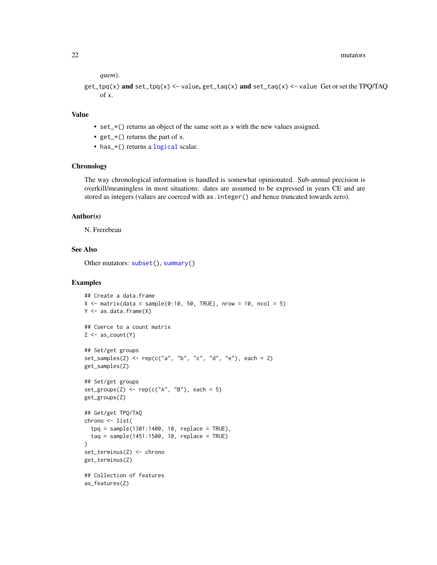#### <span id="page-21-0"></span>22 mutators and the contract of the contract of the contract of the contract of the contract of the contract of the contract of the contract of the contract of the contract of the contract of the contract of the contract o

*quem*).

```
get_tpg(x) and set_ttpq(x) <- value, get_taq(x) and set_ttag(x) <- value Get or set the TPQ/TAQ
    of x.
```
#### Value

- set\_ $\star$ () returns an object of the same sort as x with the new values assigned.
- $get_{\mathbf{r}}($  returns the part of x.
- has\_\*() returns a [logical](#page-0-0) scalar.

#### **Chronology**

The way chronological information is handled is somewhat opinionated. Sub-annual precision is overkill/meaningless in most situations: dates are assumed to be expressed in years CE and are stored as integers (values are coerced with as.integer() and hence truncated towards zero).

#### Author(s)

N. Frerebeau

#### See Also

Other mutators: [subset\(](#page-32-1)), [summary\(](#page-34-1))

```
## Create a data.frame
X \le matrix(data = sample(0:10, 50, TRUE), nrow = 10, ncol = 5)
Y <- as.data.frame(X)
## Coerce to a count matrix
Z \leftarrow as_{count}(Y)## Set/get groups
set\_samples(Z) \leq rep(c("a", "b", "c", "d", "e"), each = 2)get_samples(Z)
## Set/get groups
set_groups(Z) <- rep(c("A", "B"), each = 5)get_groups(Z)
## Get/get TPQ/TAQ
chrono <- list(
  tpq = sample(1301:1400, 10, replace = TRUE),
  taq = sample(1451:1500, 10, replace = TRUE)
)
set_terminus(Z) <- chrono
get_terminus(Z)
## Collection of features
as_features(Z)
```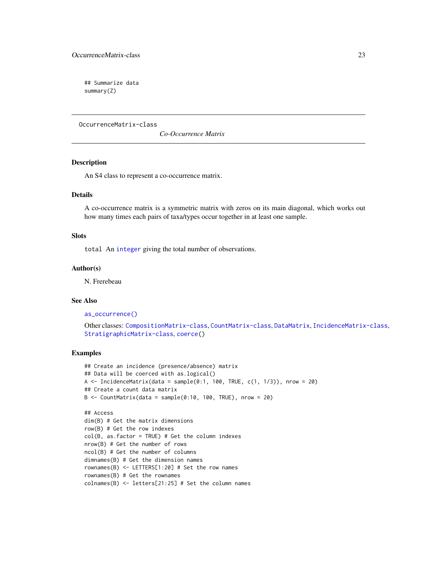# <span id="page-22-0"></span>OccurrenceMatrix-class 23

## Summarize data summary(Z)

<span id="page-22-1"></span>OccurrenceMatrix-class

*Co-Occurrence Matrix*

#### Description

An S4 class to represent a co-occurrence matrix.

# **Details**

A co-occurrence matrix is a symmetric matrix with zeros on its main diagonal, which works out how many times each pairs of taxa/types occur together in at least one sample.

# **Slots**

total An [integer](#page-0-0) giving the total number of observations.

#### Author(s)

N. Frerebeau

#### See Also

[as\\_occurrence\(\)](#page-7-1)

```
CompositionMatrix-classCountMatrix-classDataMatrixIncidenceMatrix-class,
StratigraphicMatrix-class, coerce()
```

```
## Create an incidence (presence/absence) matrix
## Data will be coerced with as.logical()
A \le IncidenceMatrix(data = sample(0:1, 100, TRUE, c(1, 1/3)), nrow = 20)
## Create a count data matrix
B \le CountMatrix(data = sample(0:10, 100, TRUE), nrow = 20)
## Access
dim(B) # Get the matrix dimensions
```

```
row(B) # Get the row indexes
col(B, as.factor = TRUE) # Get the column indexes
nrow(B) # Get the number of rows
ncol(B) # Get the number of columns
dimnames(B) # Get the dimension names
rownames(B) <- LETTERS[1:20] # Set the row names
rownames(B) # Get the rownames
colnames(B) <- letters[21:25] # Set the column names
```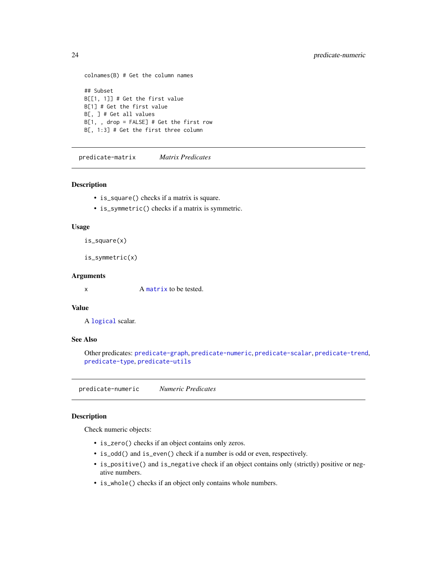```
colnames(B) # Get the column names
## Subset
B[[1, 1]] # Get the first value
B[1] # Get the first value
B[, ] # Get all values
B[1, , drop = FALSE] # Get the first row
B[, 1:3] # Get the first three column
```
<span id="page-23-2"></span>predicate-matrix *Matrix Predicates*

#### Description

- is\_square() checks if a matrix is square.
- is\_symmetric() checks if a matrix is symmetric.

#### Usage

is\_square(x)

```
is_symmetric(x)
```
#### Arguments

x A [matrix](#page-0-0) to be tested.

#### Value

A [logical](#page-0-0) scalar.

# See Also

Other predicates: [predicate-graph](#page-0-0), [predicate-numeric](#page-23-1), [predicate-scalar](#page-24-1), [predicate-trend](#page-25-1), [predicate-type](#page-26-1), [predicate-utils](#page-27-1)

<span id="page-23-1"></span>predicate-numeric *Numeric Predicates*

# Description

Check numeric objects:

- is\_zero() checks if an object contains only zeros.
- is\_odd() and is\_even() check if a number is odd or even, respectively.
- is\_positive() and is\_negative check if an object contains only (strictly) positive or negative numbers.
- is\_whole() checks if an object only contains whole numbers.

<span id="page-23-0"></span>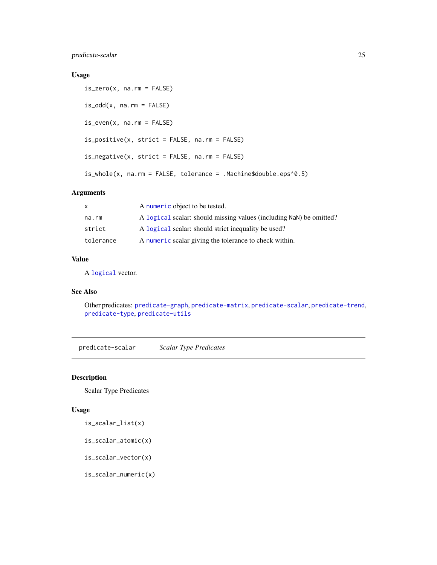<span id="page-24-0"></span>predicate-scalar 25

#### Usage

```
is\_zero(x, na.rm = FALSE)is\_odd(x, na.rm = FALSE)is\_even(x, na.rm = FALSE)is_positive(x, strict = FALSE, na.rm = FALSE)
is_negative(x, strict = FALSE, na.rm = FALSE)
is_whole(x, na.rm = FALSE, tolerance = .Machine$double.eps^0.5)
```
# Arguments

| A numeric object to be tested.                                      |
|---------------------------------------------------------------------|
| A logical scalar: should missing values (including NaN) be omitted? |
| A logical scalar: should strict inequality be used?                 |
| A numeric scalar giving the tolerance to check within.              |
|                                                                     |

# Value

A [logical](#page-0-0) vector.

# See Also

Other predicates: [predicate-graph](#page-0-0), [predicate-matrix](#page-23-2), [predicate-scalar](#page-24-1), [predicate-trend](#page-25-1), [predicate-type](#page-26-1), [predicate-utils](#page-27-1)

<span id="page-24-1"></span>predicate-scalar *Scalar Type Predicates*

#### Description

Scalar Type Predicates

# Usage

is\_scalar\_list(x)

is\_scalar\_atomic(x)

is\_scalar\_vector(x)

is\_scalar\_numeric(x)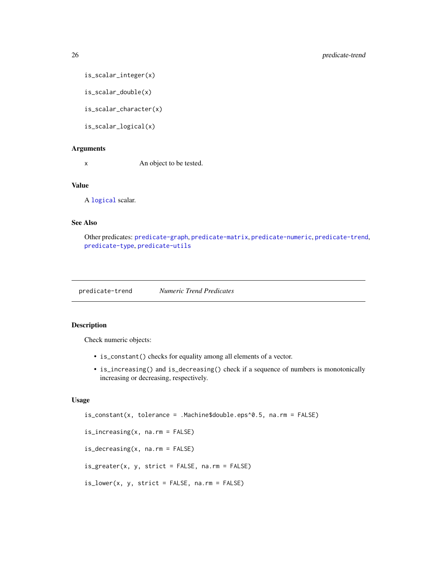```
is_scalar_integer(x)
```
is\_scalar\_double(x)

is\_scalar\_character(x)

is\_scalar\_logical(x)

#### Arguments

x An object to be tested.

# Value

A [logical](#page-0-0) scalar.

#### See Also

Other predicates: [predicate-graph](#page-0-0), [predicate-matrix](#page-23-2), [predicate-numeric](#page-23-1), [predicate-trend](#page-25-1), [predicate-type](#page-26-1), [predicate-utils](#page-27-1)

<span id="page-25-1"></span>predicate-trend *Numeric Trend Predicates*

#### Description

Check numeric objects:

- is\_constant() checks for equality among all elements of a vector.
- is\_increasing() and is\_decreasing() check if a sequence of numbers is monotonically increasing or decreasing, respectively.

# Usage

```
is_constant(x, tolerance = .Machine$double.eps^0.5, na.rm = FALSE)
is_increasing(x, na.rm = FALSE)
is_decreasing(x, na.rm = FALSE)
is_greater(x, y, strict = FALSE, na.rm = FALSE)
```

```
is_lower(x, y, strict = FALSE, na.rm = FALSE)
```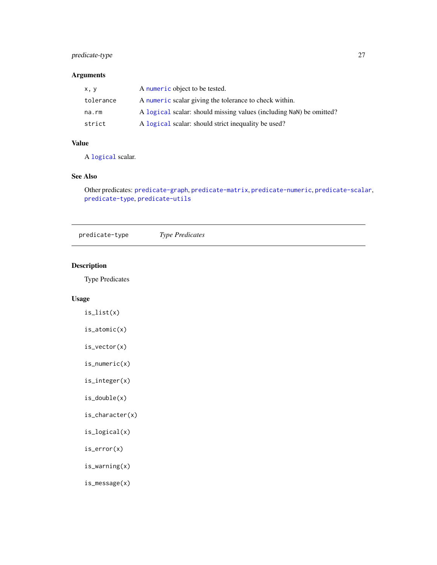# <span id="page-26-0"></span>predicate-type 27

# Arguments

| x, y      | A numeric object to be tested.                                      |
|-----------|---------------------------------------------------------------------|
| tolerance | A numeric scalar giving the tolerance to check within.              |
| na.rm     | A logical scalar: should missing values (including NaN) be omitted? |
| strict    | A logical scalar: should strict inequality be used?                 |

# Value

A [logical](#page-0-0) scalar.

# See Also

Other predicates: [predicate-graph](#page-0-0), [predicate-matrix](#page-23-2), [predicate-numeric](#page-23-1), [predicate-scalar](#page-24-1), [predicate-type](#page-26-1), [predicate-utils](#page-27-1)

<span id="page-26-1"></span>predicate-type *Type Predicates*

# Description

Type Predicates

# Usage

is\_list(x)

is\_atomic(x)

is\_vector(x)

is\_numeric(x)

is\_integer(x)

is\_double(x)

is\_character(x)

is\_logical(x)

is\_error(x)

is\_warning(x)

is\_message(x)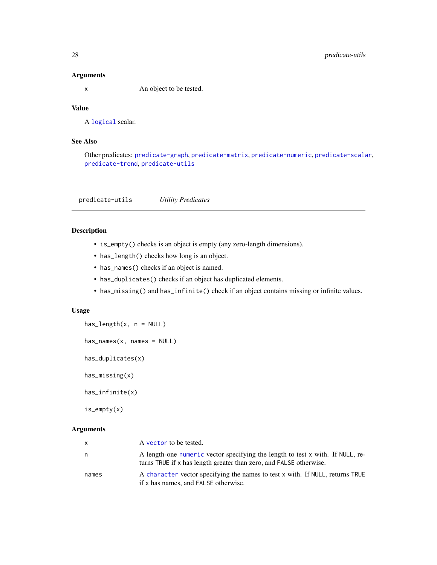#### Arguments

x An object to be tested.

# Value

A [logical](#page-0-0) scalar.

# See Also

Other predicates: [predicate-graph](#page-0-0), [predicate-matrix](#page-23-2), [predicate-numeric](#page-23-1), [predicate-scalar](#page-24-1), [predicate-trend](#page-25-1), [predicate-utils](#page-27-1)

<span id="page-27-1"></span>predicate-utils *Utility Predicates*

# Description

- is\_empty() checks is an object is empty (any zero-length dimensions).
- has\_length() checks how long is an object.
- has\_names() checks if an object is named.
- has\_duplicates() checks if an object has duplicated elements.
- has\_missing() and has\_infinite() check if an object contains missing or infinite values.

#### Usage

has\_length(x, n = NULL)

```
has_names(x, names = NULL)
```
has\_duplicates(x)

has\_missing(x)

has\_infinite(x)

is\_empty(x)

#### Arguments

| $\mathsf{x}$ | A vector to be tested.                                                                                                                               |
|--------------|------------------------------------------------------------------------------------------------------------------------------------------------------|
| n.           | A length-one numeric vector specifying the length to test x with. If NULL, re-<br>turns TRUE if x has length greater than zero, and FALSE otherwise. |
| names        | A character vector specifying the names to test x with. If NULL, returns TRUE<br>if x has names, and FALSE otherwise.                                |

<span id="page-27-0"></span>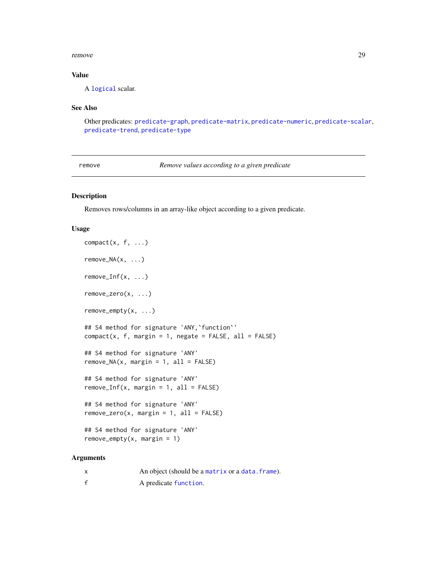#### <span id="page-28-0"></span>remove 29

# Value

A [logical](#page-0-0) scalar.

# See Also

Other predicates: [predicate-graph](#page-0-0), [predicate-matrix](#page-23-2), [predicate-numeric](#page-23-1), [predicate-scalar](#page-24-1), [predicate-trend](#page-25-1), [predicate-type](#page-26-1)

<span id="page-28-1"></span>remove *Remove values according to a given predicate*

# Description

Removes rows/columns in an array-like object according to a given predicate.

#### Usage

```
compact(x, f, \ldots)remove_NA(x, \ldots)remove_Inf(x, ...)
remove_zero(x, ...)
remove_empty(x, ...)
## S4 method for signature 'ANY,`function`'
compact(x, f, margin = 1, negative = FALSE, all = FALSE)## S4 method for signature 'ANY'
remove_NA(x, margin = 1, all = FALSE)## S4 method for signature 'ANY'
remove_Inf(x, margin = 1, all = FALSE)## S4 method for signature 'ANY'
remove\_zero(x, margin = 1, all = FALSE)## S4 method for signature 'ANY'
remove-empty(x, margin = 1)
```
#### Arguments

| An object (should be a matrix or a data. frame). |
|--------------------------------------------------|
| A predicate function.                            |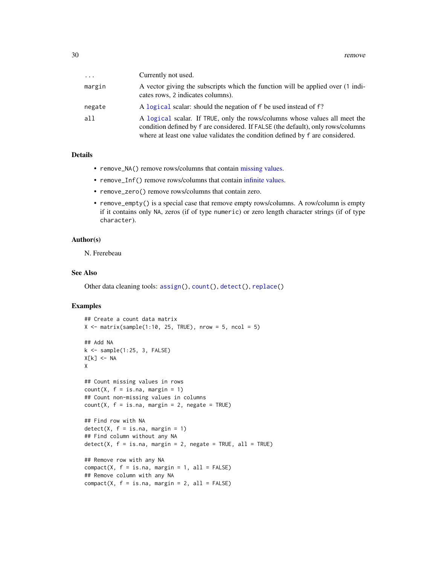<span id="page-29-0"></span>

| $\cdots$ | Currently not used.                                                                                                                                                                                                                             |
|----------|-------------------------------------------------------------------------------------------------------------------------------------------------------------------------------------------------------------------------------------------------|
| margin   | A vector giving the subscripts which the function will be applied over (1 indi-<br>cates rows, 2 indicates columns).                                                                                                                            |
| negate   | A logical scalar: should the negation of f be used instead of f?                                                                                                                                                                                |
| all      | A logical scalar. If TRUE, only the rows/columns whose values all meet the<br>condition defined by f are considered. If FALSE (the default), only rows/columns<br>where at least one value validates the condition defined by f are considered. |

#### Details

- remove\_NA() remove rows/columns that contain [missing values.](#page-0-0)
- remove\_Inf() remove rows/columns that contain [infinite values.](#page-0-0)
- remove\_zero() remove rows/columns that contain zero.
- remove\_empty() is a special case that remove empty rows/columns. A row/column is empty if it contains only NA, zeros (if of type numeric) or zero length character strings (if of type character).

#### Author(s)

N. Frerebeau

#### See Also

Other data cleaning tools: [assign\(](#page-2-1)), [count\(](#page-12-1)), [detect\(](#page-14-1)), [replace\(](#page-30-1))

```
## Create a count data matrix
X \le matrix(sample(1:10, 25, TRUE), nrow = 5, ncol = 5)
## Add NA
k \leq - sample(1:25, 3, FALSE)
X[k] <- NA
X
## Count missing values in rows
count(X, f = is.na, margin = 1)## Count non-missing values in columns
count(X, f = is.na, margin = 2, negative = TRUE)## Find row with NA
detect(X, f = is.na, margin = 1)## Find column without any NA
detect(X, f = is.na, margin = 2, negative = TRUE, all = TRUE)## Remove row with any NA
compact(X, f = is.na, margin = 1, all = FALSE)## Remove column with any NA
compact(X, f = is.na, margin = 2, all = FALSE)
```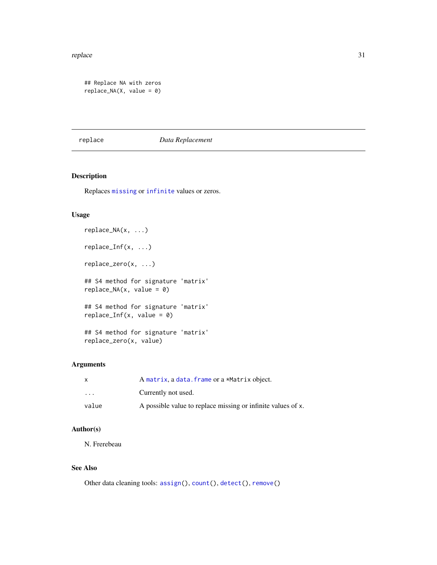#### <span id="page-30-0"></span>replace 31

```
## Replace NA with zeros
replace_NA(X, value = 0)
```
#### <span id="page-30-1"></span>replace *Data Replacement*

# Description

Replaces [missing](#page-0-0) or [infinite](#page-0-0) values or zeros.

#### Usage

```
replace_NA(x, ...)
replace_Inf(x, ...)
replace_zero(x, ...)
## S4 method for signature 'matrix'
replace_MA(x, value = 0)## S4 method for signature 'matrix'
replace_Inf(x, value = 0)## S4 method for signature 'matrix'
replace_zero(x, value)
```
# Arguments

| X     | A matrix, a data, frame or a *Matrix object.                 |
|-------|--------------------------------------------------------------|
| .     | Currently not used.                                          |
| value | A possible value to replace missing or infinite values of x. |

#### Author(s)

N. Frerebeau

# See Also

Other data cleaning tools: [assign\(](#page-2-1)), [count\(](#page-12-1)), [detect\(](#page-14-1)), [remove\(](#page-28-1))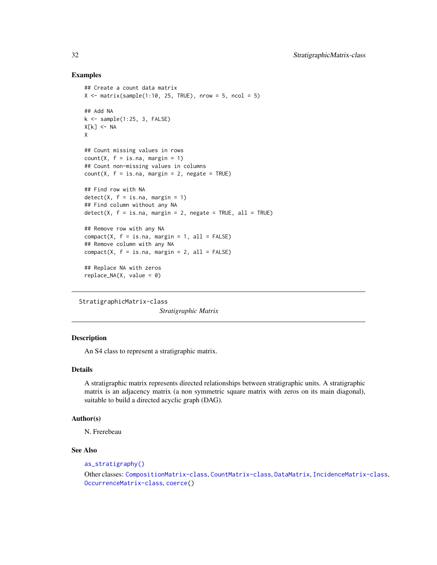#### Examples

```
## Create a count data matrix
X \le matrix(sample(1:10, 25, TRUE), nrow = 5, ncol = 5)
## Add NA
k \leq - sample(1:25, 3, FALSE)
X[k] <- NA
X
## Count missing values in rows
count(X, f = is.na, margin = 1)## Count non-missing values in columns
count(X, f = is.na, margin = 2, negative = TRUE)## Find row with NA
detect(X, f = is.na, margin = 1)## Find column without any NA
detect(X, f = is.na, margin = 2, negative = TRUE, all = TRUE)## Remove row with any NA
compact(X, f = is.na, margin = 1, all = FALSE)## Remove column with any NA
compact(X, f = is.na, margin = 2, all = FALSE)## Replace NA with zeros
replace_MA(X, value = 0)
```

```
StratigraphicMatrix-class
```
*Stratigraphic Matrix*

# Description

An S4 class to represent a stratigraphic matrix.

### Details

A stratigraphic matrix represents directed relationships between stratigraphic units. A stratigraphic matrix is an adjacency matrix (a non symmetric square matrix with zeros on its main diagonal), suitable to build a directed acyclic graph (DAG).

#### Author(s)

N. Frerebeau

#### See Also

```
as_stratigraphy()
```

```
CompositionMatrix-classCountMatrix-classDataMatrixIncidenceMatrix-class,
OccurrenceMatrix-class, coerce()
```
<span id="page-31-0"></span>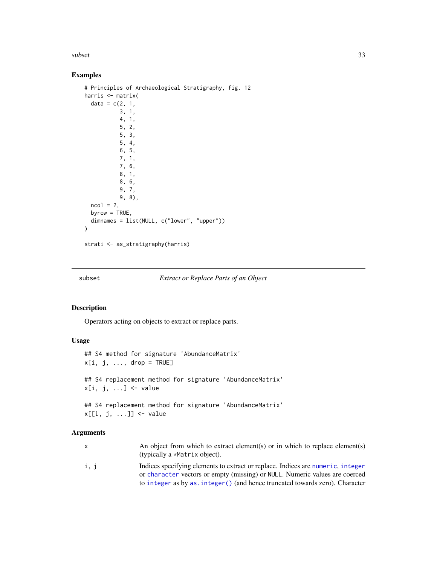<span id="page-32-0"></span>subset 33

# Examples

```
# Principles of Archaeological Stratigraphy, fig. 12
harris <- matrix(
  data = c(2, 1,3, 1,
           4, 1,
           5, 2,
           5, 3,
           5, 4,
           6, 5,
           7, 1,
           7, 6,
           8, 1,
           8, 6,
           9, 7,
           9, 8),
  ncol = 2,
  byrow = TRUE,
  dimnames = list(NULL, c("lower", "upper"))
\lambda
```

```
strati <- as_stratigraphy(harris)
```
<span id="page-32-1"></span>

#### subset *Extract or Replace Parts of an Object*

## Description

Operators acting on objects to extract or replace parts.

#### Usage

```
## S4 method for signature 'AbundanceMatrix'
x[i, j, ..., drop = TRUE]## S4 replacement method for signature 'AbundanceMatrix'
x[i, j, ...] <- value
## S4 replacement method for signature 'AbundanceMatrix'
x[[i, j, ...]] <- value
```
#### Arguments

|      | An object from which to extract element(s) or in which to replace element(s)<br>(typically a *Matrix object). |
|------|---------------------------------------------------------------------------------------------------------------|
|      |                                                                                                               |
| i, j | Indices specifying elements to extract or replace. Indices are numeric, integer                               |
|      | or character vectors or empty (missing) or NULL. Numeric values are coerced                                   |
|      | to integer as by as . integer () (and hence truncated towards zero). Character                                |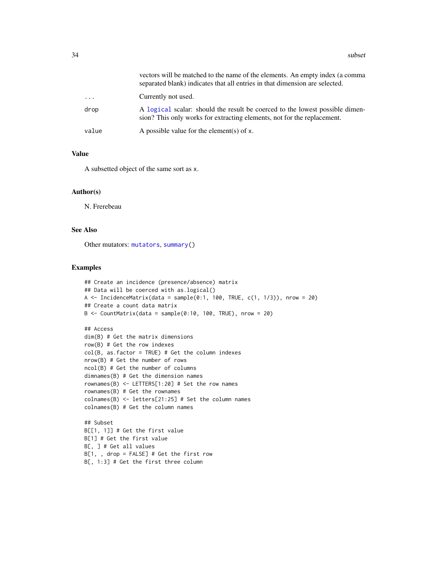<span id="page-33-0"></span>

|          | vectors will be matched to the name of the elements. An empty index (a comma<br>separated blank) indicates that all entries in that dimension are selected. |
|----------|-------------------------------------------------------------------------------------------------------------------------------------------------------------|
| $\cdots$ | Currently not used.                                                                                                                                         |
| drop     | A logical scalar: should the result be coerced to the lowest possible dimen-<br>sion? This only works for extracting elements, not for the replacement.     |
| value    | A possible value for the element(s) of $x$ .                                                                                                                |

# Value

A subsetted object of the same sort as x.

#### Author(s)

N. Frerebeau

#### See Also

Other mutators: [mutators](#page-18-1), [summary\(](#page-34-1))

```
## Create an incidence (presence/absence) matrix
## Data will be coerced with as.logical()
A \le IncidenceMatrix(data = sample(0:1, 100, TRUE, c(1, 1/3)), nrow = 20)
## Create a count data matrix
B <- CountMatrix(data = sample(0:10, 100, TRUE), nrow = 20)
```

```
## Access
dim(B) # Get the matrix dimensions
row(B) # Get the row indexes
col(B, as.factor = TRUE) # Get the column indexes
nrow(B) # Get the number of rows
ncol(B) # Get the number of columns
dimnames(B) # Get the dimension names
rownames(B) <- LETTERS[1:20] # Set the row names
rownames(B) # Get the rownames
colnames(B) <- letters[21:25] # Set the column names
colnames(B) # Get the column names
```

```
## Subset
B[[1, 1]] # Get the first value
B[1] # Get the first value
B[, ] # Get all values
B[1, , drop = FALSE] # Get the first row
B[, 1:3] # Get the first three column
```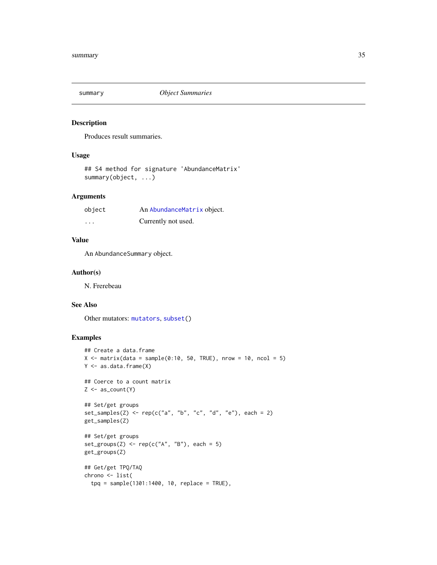<span id="page-34-1"></span><span id="page-34-0"></span>

Produces result summaries.

# Usage

## S4 method for signature 'AbundanceMatrix' summary(object, ...)

# Arguments

| object   | An AbundanceMatrix object. |
|----------|----------------------------|
| $\cdots$ | Currently not used.        |

# Value

An AbundanceSummary object.

#### Author(s)

N. Frerebeau

#### See Also

Other mutators: [mutators](#page-18-1), [subset\(](#page-32-1))

```
## Create a data.frame
X \le matrix(data = sample(0:10, 50, TRUE), nrow = 10, ncol = 5)
Y <- as.data.frame(X)
## Coerce to a count matrix
Z \leftarrow as_count(Y)## Set/get groups
set_samples(Z) <- rep(c("a", "b", "c", "d", "e"), each = 2)get_samples(Z)
## Set/get groups
set\_groups(Z) \leftarrow rep(c("A", "B"), each = 5)get_groups(Z)
## Get/get TPQ/TAQ
chrono <- list(
  tpq = sample(1301:1400, 10, replace = TRUE),
```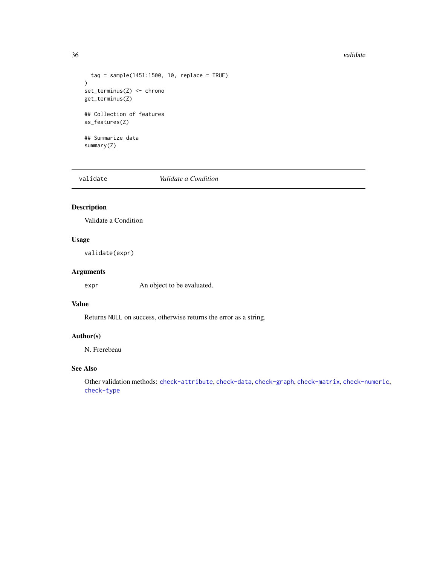#### <span id="page-35-0"></span>36 validate values of the state of the state of the state of the state of the state of the state of the state of the state of the state of the state of the state of the state of the state of the state of the state of the s

```
tag = sample(1451:1500, 10, replace = TRUE))
set_terminus(Z) <- chrono
get_terminus(Z)
## Collection of features
as_features(Z)
## Summarize data
summary(Z)
```
<span id="page-35-1"></span>

validate *Validate a Condition*

# Description

Validate a Condition

# Usage

validate(expr)

# Arguments

expr An object to be evaluated.

#### Value

Returns NULL on success, otherwise returns the error as a string.

# Author(s)

N. Frerebeau

#### See Also

Other validation methods: [check-attribute](#page-3-1), [check-data](#page-4-1), [check-graph](#page-0-0), [check-matrix](#page-4-2), [check-numeric](#page-5-1), [check-type](#page-6-1)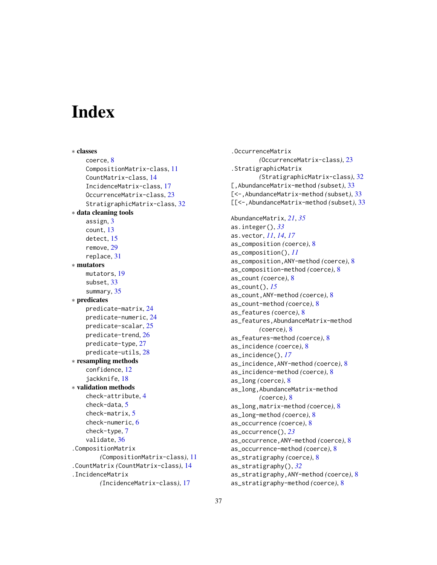# <span id="page-36-0"></span>**Index**

∗ classes coerce, [8](#page-7-0) CompositionMatrix-class, [11](#page-10-0) CountMatrix-class, [14](#page-13-0) IncidenceMatrix-class, [17](#page-16-0) OccurrenceMatrix-class, [23](#page-22-0) StratigraphicMatrix-class, [32](#page-31-0) ∗ data cleaning tools assign, [3](#page-2-0) count, [13](#page-12-0) detect, [15](#page-14-0) remove, [29](#page-28-0) replace, [31](#page-30-0) ∗ mutators mutators, [19](#page-18-0) subset, [33](#page-32-0) summary, [35](#page-34-0) ∗ predicates predicate-matrix, [24](#page-23-0) predicate-numeric, [24](#page-23-0) predicate-scalar, [25](#page-24-0) predicate-trend, [26](#page-25-0) predicate-type, [27](#page-26-0) predicate-utils, [28](#page-27-0) ∗ resampling methods confidence, [12](#page-11-0) jackknife, [18](#page-17-0) ∗ validation methods check-attribute, [4](#page-3-0) check-data, [5](#page-4-0) check-matrix, [5](#page-4-0) check-numeric, [6](#page-5-0) check-type, [7](#page-6-0) validate, [36](#page-35-0) .CompositionMatrix *(*CompositionMatrix-class*)*, [11](#page-10-0) .CountMatrix *(*CountMatrix-class*)*, [14](#page-13-0) .IncidenceMatrix *(*IncidenceMatrix-class*)*, [17](#page-16-0)

.OccurrenceMatrix *(*OccurrenceMatrix-class*)*, [23](#page-22-0) .StratigraphicMatrix *(*StratigraphicMatrix-class*)*, [32](#page-31-0) [,AbundanceMatrix-method *(*subset*)*, [33](#page-32-0) [<-,AbundanceMatrix-method *(*subset*)*, [33](#page-32-0) [[<-,AbundanceMatrix-method *(*subset*)*, [33](#page-32-0) AbundanceMatrix, *[21](#page-20-0)*, *[35](#page-34-0)* as.integer(), *[33](#page-32-0)* as.vector, *[11](#page-10-0)*, *[14](#page-13-0)*, *[17](#page-16-0)* as\_composition *(*coerce*)*, [8](#page-7-0) as\_composition(), *[11](#page-10-0)* as\_composition,ANY-method *(*coerce*)*, [8](#page-7-0) as\_composition-method *(*coerce*)*, [8](#page-7-0) as\_count *(*coerce*)*, [8](#page-7-0) as\_count(), *[15](#page-14-0)* as\_count,ANY-method *(*coerce*)*, [8](#page-7-0) as\_count-method *(*coerce*)*, [8](#page-7-0) as\_features *(*coerce*)*, [8](#page-7-0) as\_features,AbundanceMatrix-method *(*coerce*)*, [8](#page-7-0) as\_features-method *(*coerce*)*, [8](#page-7-0) as\_incidence *(*coerce*)*, [8](#page-7-0) as\_incidence(), *[17](#page-16-0)* as\_incidence,ANY-method *(*coerce*)*, [8](#page-7-0) as\_incidence-method *(*coerce*)*, [8](#page-7-0) as\_long *(*coerce*)*, [8](#page-7-0) as\_long,AbundanceMatrix-method *(*coerce*)*, [8](#page-7-0) as\_long,matrix-method *(*coerce*)*, [8](#page-7-0) as\_long-method *(*coerce*)*, [8](#page-7-0) as\_occurrence *(*coerce*)*, [8](#page-7-0) as\_occurrence(), *[23](#page-22-0)* as\_occurrence,ANY-method *(*coerce*)*, [8](#page-7-0) as\_occurrence-method *(*coerce*)*, [8](#page-7-0) as\_stratigraphy *(*coerce*)*, [8](#page-7-0) as\_stratigraphy(), *[32](#page-31-0)* as\_stratigraphy,ANY-method *(*coerce*)*, [8](#page-7-0) as\_stratigraphy-method *(*coerce*)*, [8](#page-7-0)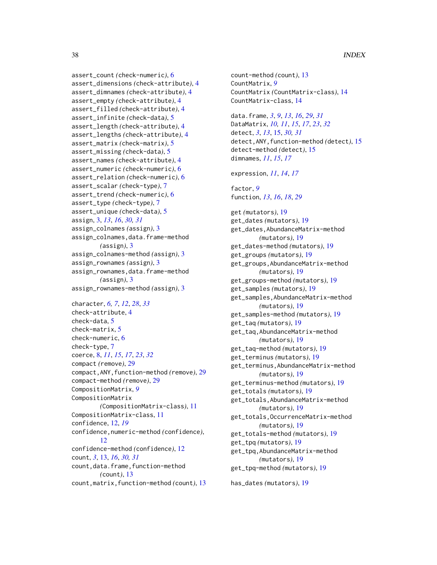assert\_count *(*check-numeric*)*, [6](#page-5-0) assert\_dimensions *(*check-attribute*)*, [4](#page-3-0) assert\_dimnames *(*check-attribute*)*, [4](#page-3-0) assert\_empty *(*check-attribute*)*, [4](#page-3-0) assert\_filled *(*check-attribute*)*, [4](#page-3-0) assert\_infinite *(*check-data*)*, [5](#page-4-0) assert\_length *(*check-attribute*)*, [4](#page-3-0) assert\_lengths *(*check-attribute*)*, [4](#page-3-0) assert\_matrix *(*check-matrix*)*, [5](#page-4-0) assert\_missing *(*check-data*)*, [5](#page-4-0) assert\_names *(*check-attribute*)*, [4](#page-3-0) assert\_numeric *(*check-numeric*)*, [6](#page-5-0) assert\_relation *(*check-numeric*)*, [6](#page-5-0) assert\_scalar *(*check-type*)*, [7](#page-6-0) assert\_trend *(*check-numeric*)*, [6](#page-5-0) assert\_type *(*check-type*)*, [7](#page-6-0) assert\_unique *(*check-data*)*, [5](#page-4-0) assign, [3,](#page-2-0) *[13](#page-12-0)*, *[16](#page-15-0)*, *[30,](#page-29-0) [31](#page-30-0)* assign\_colnames *(*assign*)*, [3](#page-2-0) assign\_colnames,data.frame-method *(*assign*)*, [3](#page-2-0) assign\_colnames-method *(*assign*)*, [3](#page-2-0) assign\_rownames *(*assign*)*, [3](#page-2-0) assign\_rownames,data.frame-method *(*assign*)*, [3](#page-2-0) assign\_rownames-method *(*assign*)*, [3](#page-2-0)

character, *[6,](#page-5-0) [7](#page-6-0)*, *[12](#page-11-0)*, *[28](#page-27-0)*, *[33](#page-32-0)* check-attribute, [4](#page-3-0) check-data, [5](#page-4-0) check-matrix, [5](#page-4-0) check-numeric, [6](#page-5-0) check-type, [7](#page-6-0) coerce, [8,](#page-7-0) *[11](#page-10-0)*, *[15](#page-14-0)*, *[17](#page-16-0)*, *[23](#page-22-0)*, *[32](#page-31-0)* compact *(*remove*)*, [29](#page-28-0) compact,ANY,function-method *(*remove*)*, [29](#page-28-0) compact-method *(*remove*)*, [29](#page-28-0) CompositionMatrix, *[9](#page-8-0)* CompositionMatrix *(*CompositionMatrix-class*)*, [11](#page-10-0) CompositionMatrix-class, [11](#page-10-0) confidence, [12,](#page-11-0) *[19](#page-18-0)* confidence,numeric-method *(*confidence*)*, [12](#page-11-0) confidence-method *(*confidence*)*, [12](#page-11-0) count, *[3](#page-2-0)*, [13,](#page-12-0) *[16](#page-15-0)*, *[30,](#page-29-0) [31](#page-30-0)* count,data.frame,function-method *(*count*)*, [13](#page-12-0) count,matrix,function-method *(*count*)*, [13](#page-12-0)

count-method *(*count*)*, [13](#page-12-0) CountMatrix, *[9](#page-8-0)* CountMatrix *(*CountMatrix-class*)*, [14](#page-13-0) CountMatrix-class, [14](#page-13-0)

data.frame, *[3](#page-2-0)*, *[9](#page-8-0)*, *[13](#page-12-0)*, *[16](#page-15-0)*, *[29](#page-28-0)*, *[31](#page-30-0)* DataMatrix, *[10,](#page-9-0) [11](#page-10-0)*, *[15](#page-14-0)*, *[17](#page-16-0)*, *[23](#page-22-0)*, *[32](#page-31-0)* detect, *[3](#page-2-0)*, *[13](#page-12-0)*, [15,](#page-14-0) *[30,](#page-29-0) [31](#page-30-0)* detect,ANY,function-method *(*detect*)*, [15](#page-14-0) detect-method *(*detect*)*, [15](#page-14-0) dimnames, *[11](#page-10-0)*, *[15](#page-14-0)*, *[17](#page-16-0)*

expression, *[11](#page-10-0)*, *[14](#page-13-0)*, *[17](#page-16-0)*

factor, *[9](#page-8-0)* function, *[13](#page-12-0)*, *[16](#page-15-0)*, *[18](#page-17-0)*, *[29](#page-28-0)*

get *(*mutators*)*, [19](#page-18-0) get\_dates *(*mutators*)*, [19](#page-18-0) get\_dates,AbundanceMatrix-method *(*mutators*)*, [19](#page-18-0) get\_dates-method *(*mutators*)*, [19](#page-18-0) get\_groups *(*mutators*)*, [19](#page-18-0) get\_groups,AbundanceMatrix-method *(*mutators*)*, [19](#page-18-0) get\_groups-method *(*mutators*)*, [19](#page-18-0) get\_samples *(*mutators*)*, [19](#page-18-0) get\_samples,AbundanceMatrix-method *(*mutators*)*, [19](#page-18-0) get\_samples-method *(*mutators*)*, [19](#page-18-0) get\_taq *(*mutators*)*, [19](#page-18-0) get\_taq,AbundanceMatrix-method *(*mutators*)*, [19](#page-18-0) get\_taq-method *(*mutators*)*, [19](#page-18-0) get\_terminus *(*mutators*)*, [19](#page-18-0) get\_terminus,AbundanceMatrix-method *(*mutators*)*, [19](#page-18-0) get\_terminus-method *(*mutators*)*, [19](#page-18-0) get\_totals *(*mutators*)*, [19](#page-18-0) get\_totals,AbundanceMatrix-method *(*mutators*)*, [19](#page-18-0) get\_totals,OccurrenceMatrix-method *(*mutators*)*, [19](#page-18-0) get\_totals-method *(*mutators*)*, [19](#page-18-0) get\_tpq *(*mutators*)*, [19](#page-18-0) get\_tpq,AbundanceMatrix-method *(*mutators*)*, [19](#page-18-0) get\_tpq-method *(*mutators*)*, [19](#page-18-0)

has\_dates *(*mutators*)*, [19](#page-18-0)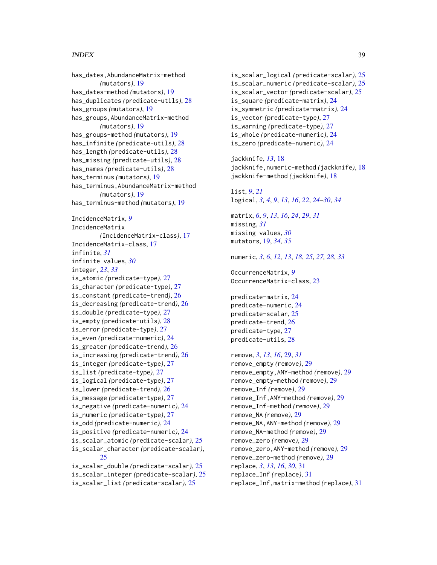#### INDEX  $39$

has\_dates,AbundanceMatrix-method *(*mutators*)*, [19](#page-18-0) has\_dates-method *(*mutators*)*, [19](#page-18-0) has\_duplicates *(*predicate-utils*)*, [28](#page-27-0) has\_groups *(*mutators*)*, [19](#page-18-0) has\_groups,AbundanceMatrix-method *(*mutators*)*, [19](#page-18-0) has\_groups-method *(*mutators*)*, [19](#page-18-0) has\_infinite *(*predicate-utils*)*, [28](#page-27-0) has\_length *(*predicate-utils*)*, [28](#page-27-0) has\_missing *(*predicate-utils*)*, [28](#page-27-0) has\_names *(*predicate-utils*)*, [28](#page-27-0) has\_terminus *(*mutators*)*, [19](#page-18-0) has\_terminus,AbundanceMatrix-method *(*mutators*)*, [19](#page-18-0) has\_terminus-method *(*mutators*)*, [19](#page-18-0) IncidenceMatrix, *[9](#page-8-0)* IncidenceMatrix *(*IncidenceMatrix-class*)*, [17](#page-16-0) IncidenceMatrix-class, [17](#page-16-0) infinite, *[31](#page-30-0)* infinite values, *[30](#page-29-0)* integer, *[23](#page-22-0)*, *[33](#page-32-0)* is\_atomic *(*predicate-type*)*, [27](#page-26-0) is\_character *(*predicate-type*)*, [27](#page-26-0) is\_constant *(*predicate-trend*)*, [26](#page-25-0) is\_decreasing *(*predicate-trend*)*, [26](#page-25-0) is\_double *(*predicate-type*)*, [27](#page-26-0) is\_empty *(*predicate-utils*)*, [28](#page-27-0) is\_error *(*predicate-type*)*, [27](#page-26-0) is\_even *(*predicate-numeric*)*, [24](#page-23-0) is\_greater *(*predicate-trend*)*, [26](#page-25-0) is\_increasing *(*predicate-trend*)*, [26](#page-25-0) is\_integer *(*predicate-type*)*, [27](#page-26-0) is\_list *(*predicate-type*)*, [27](#page-26-0) is\_logical *(*predicate-type*)*, [27](#page-26-0) is\_lower *(*predicate-trend*)*, [26](#page-25-0) is\_message *(*predicate-type*)*, [27](#page-26-0) is\_negative *(*predicate-numeric*)*, [24](#page-23-0) is\_numeric *(*predicate-type*)*, [27](#page-26-0) is\_odd *(*predicate-numeric*)*, [24](#page-23-0) is\_positive *(*predicate-numeric*)*, [24](#page-23-0) is\_scalar\_atomic *(*predicate-scalar*)*, [25](#page-24-0) is\_scalar\_character *(*predicate-scalar*)*, [25](#page-24-0) is\_scalar\_double *(*predicate-scalar*)*, [25](#page-24-0) is\_scalar\_integer *(*predicate-scalar*)*, [25](#page-24-0) is\_scalar\_list *(*predicate-scalar*)*, [25](#page-24-0)

is\_scalar\_logical *(*predicate-scalar*)*, [25](#page-24-0) is\_scalar\_numeric *(*predicate-scalar*)*, [25](#page-24-0) is\_scalar\_vector *(*predicate-scalar*)*, [25](#page-24-0) is\_square *(*predicate-matrix*)*, [24](#page-23-0) is\_symmetric *(*predicate-matrix*)*, [24](#page-23-0) is\_vector *(*predicate-type*)*, [27](#page-26-0) is\_warning *(*predicate-type*)*, [27](#page-26-0) is\_whole *(*predicate-numeric*)*, [24](#page-23-0) is\_zero *(*predicate-numeric*)*, [24](#page-23-0)

jackknife, *[13](#page-12-0)*, [18](#page-17-0) jackknife,numeric-method *(*jackknife*)*, [18](#page-17-0) jackknife-method *(*jackknife*)*, [18](#page-17-0)

list, *[9](#page-8-0)*, *[21](#page-20-0)* logical, *[3,](#page-2-0) [4](#page-3-0)*, *[9](#page-8-0)*, *[13](#page-12-0)*, *[16](#page-15-0)*, *[22](#page-21-0)*, *[24](#page-23-0)[–30](#page-29-0)*, *[34](#page-33-0)*

matrix, *[6](#page-5-0)*, *[9](#page-8-0)*, *[13](#page-12-0)*, *[16](#page-15-0)*, *[24](#page-23-0)*, *[29](#page-28-0)*, *[31](#page-30-0)* missing, *[31](#page-30-0)* missing values, *[30](#page-29-0)* mutators, [19,](#page-18-0) *[34,](#page-33-0) [35](#page-34-0)*

numeric, *[3](#page-2-0)*, *[6](#page-5-0)*, *[12,](#page-11-0) [13](#page-12-0)*, *[18](#page-17-0)*, *[25](#page-24-0)*, *[27,](#page-26-0) [28](#page-27-0)*, *[33](#page-32-0)*

OccurrenceMatrix, *[9](#page-8-0)* OccurrenceMatrix-class, [23](#page-22-0)

predicate-matrix, [24](#page-23-0) predicate-numeric, [24](#page-23-0) predicate-scalar, [25](#page-24-0) predicate-trend, [26](#page-25-0) predicate-type, [27](#page-26-0) predicate-utils, [28](#page-27-0)

remove, *[3](#page-2-0)*, *[13](#page-12-0)*, *[16](#page-15-0)*, [29,](#page-28-0) *[31](#page-30-0)* remove\_empty *(*remove*)*, [29](#page-28-0) remove\_empty,ANY-method *(*remove*)*, [29](#page-28-0) remove\_empty-method *(*remove*)*, [29](#page-28-0) remove\_Inf *(*remove*)*, [29](#page-28-0) remove\_Inf,ANY-method *(*remove*)*, [29](#page-28-0) remove\_Inf-method *(*remove*)*, [29](#page-28-0) remove\_NA *(*remove*)*, [29](#page-28-0) remove\_NA,ANY-method *(*remove*)*, [29](#page-28-0) remove\_NA-method *(*remove*)*, [29](#page-28-0) remove\_zero *(*remove*)*, [29](#page-28-0) remove\_zero,ANY-method *(*remove*)*, [29](#page-28-0) remove\_zero-method *(*remove*)*, [29](#page-28-0) replace, *[3](#page-2-0)*, *[13](#page-12-0)*, *[16](#page-15-0)*, *[30](#page-29-0)*, [31](#page-30-0) replace\_Inf *(*replace*)*, [31](#page-30-0) replace\_Inf,matrix-method *(*replace*)*, [31](#page-30-0)